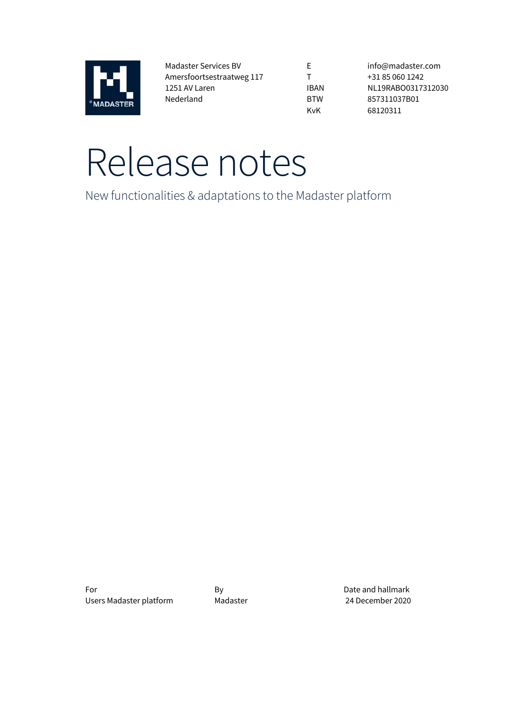

Madaster Services BV Amersfoortsestraatweg 117 1251 AV Laren Nederland

E T IBAN BTW KvK

info@madaster.com +31 85 060 1242 NL19RABO0317312030 857311037B01 68120311

# Release notes

New functionalities & adaptations to the Madaster platform

For By By By Date and hallmark Users Madaster platform Madaster 24 December 2020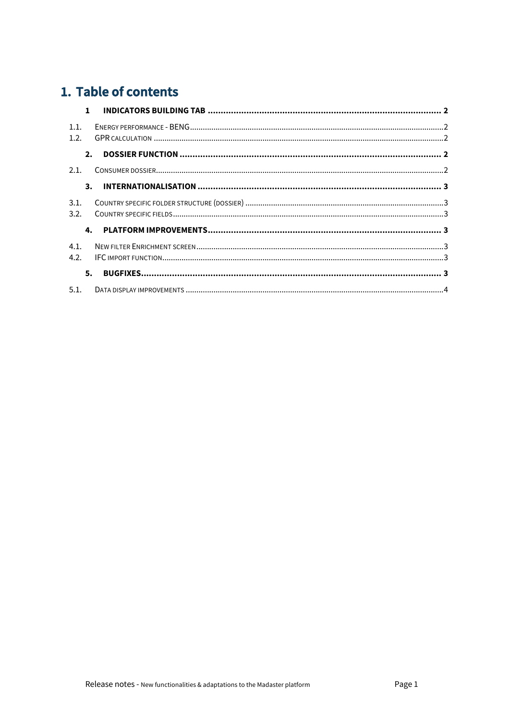# 1. Table of contents

|              | $\mathbf{1}$ |  |
|--------------|--------------|--|
| 1.1.         |              |  |
| 1.2.         |              |  |
|              | 2.           |  |
| 2.1.         |              |  |
|              |              |  |
| 3.1.<br>3.2. |              |  |
|              |              |  |
| 4.1.         |              |  |
| 4.2.         |              |  |
|              | 5.           |  |
|              |              |  |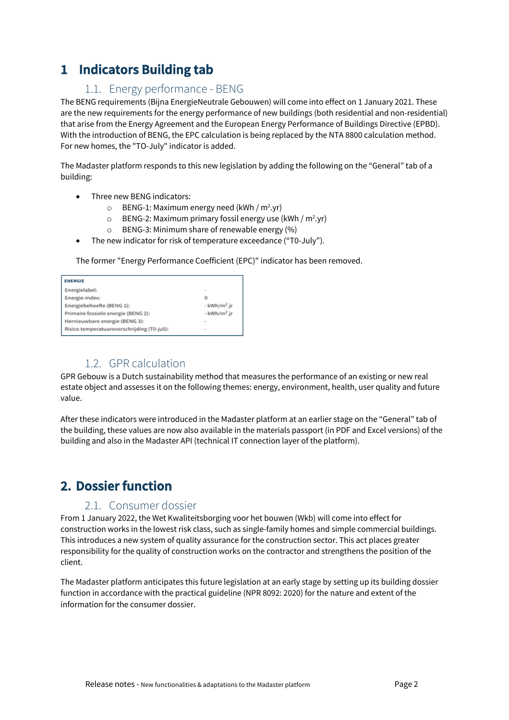# **1 Indicators Building tab**

#### 1.1. Energy performance - BENG

The BENG requirements (Bijna EnergieNeutrale Gebouwen) will come into effect on 1 January 2021. These are the new requirements for the energy performance of new buildings (both residential and non-residential) that arise from the Energy Agreement and the European Energy Performance of Buildings Directive (EPBD). With the introduction of BENG, the EPC calculation is being replaced by the NTA 8800 calculation method. For new homes, the "TO-July" indicator is added.

The Madaster platform responds to this new legislation by adding the following on the "General" tab of a building:

- Three new BENG indicators:
	- $\circ$  BENG-1: Maximum energy need (kWh / m<sup>2</sup>.yr)
	- o BENG-2: Maximum primary fossil energy use (kWh / m<sup>2</sup>.yr)
	- o BENG-3: Minimum share of renewable energy (%)
- The new indicator for risk of temperature exceedance ("T0-July").

The former "Energy Performance Coefficient (EPC)" indicator has been removed.

| <b>ENERGIE</b>                              |                          |  |  |  |  |  |
|---------------------------------------------|--------------------------|--|--|--|--|--|
| Energielabel:                               | $\sim$                   |  |  |  |  |  |
| Energie-index:                              | o                        |  |  |  |  |  |
| Energiebehoefte (BENG 1):                   | - kWh/m <sup>2</sup> .jr |  |  |  |  |  |
| Primaire fossiele energie (BENG 2):         | - kWh/m <sup>2</sup> .jr |  |  |  |  |  |
| Hernieuwbare energie (BENG 3):              | $\sim$                   |  |  |  |  |  |
| Risico temperatuuroverschrijding (T0-juli): | $\sim$                   |  |  |  |  |  |

#### 1.2. GPR calculation

GPR Gebouw is a Dutch sustainability method that measures the performance of an existing or new real estate object and assesses it on the following themes: energy, environment, health, user quality and future value.

After these indicators were introduced in the Madaster platform at an earlier stage on the "General" tab of the building, these values are now also available in the materials passport (in PDF and Excel versions) of the building and also in the Madaster API (technical IT connection layer of the platform).

## **2. Dossier function**

#### 2.1. Consumer dossier

From 1 January 2022, the Wet Kwaliteitsborging voor het bouwen (Wkb) will come into effect for construction works in the lowest risk class, such as single-family homes and simple commercial buildings. This introduces a new system of quality assurance for the construction sector. This act places greater responsibility for the quality of construction works on the contractor and strengthens the position of the client.

The Madaster platform anticipates this future legislation at an early stage by setting up its building dossier function in accordance with the practical guideline (NPR 8092: 2020) for the nature and extent of the information for the consumer dossier.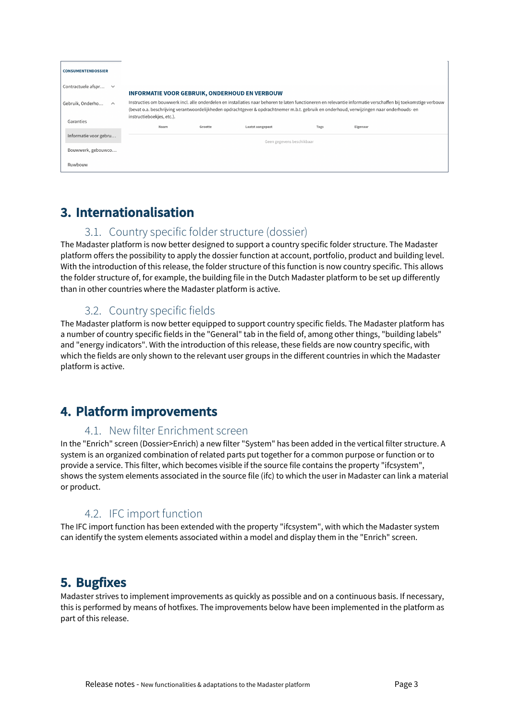| <b>CONSUMENTENDOSSIER</b>          |                                                                                                                                                                                                                                                                                                             |         |                           |      |          |  |
|------------------------------------|-------------------------------------------------------------------------------------------------------------------------------------------------------------------------------------------------------------------------------------------------------------------------------------------------------------|---------|---------------------------|------|----------|--|
| Contractuele afspr<br>$\checkmark$ | <b>INFORMATIE VOOR GEBRUIK, ONDERHOUD EN VERBOUW</b>                                                                                                                                                                                                                                                        |         |                           |      |          |  |
| Gebruik, Onderho<br>$\sim$         | Instructies om bouwwerk incl. alle onderdelen en installaties naar behoren te laten functioneren en relevantie informatie verschaffen bij toekomstige verbouw<br>(bevat o.a. beschrijving verantwoordelijkheden opdrachtgever & opdrachtnemer m.b.t. gebruik en onderhoud, verwijzingen naar onderhouds- en |         |                           |      |          |  |
| Garanties                          | instructieboekjes, etc.).<br>Naam                                                                                                                                                                                                                                                                           | Grootte | Laatst aangepast          | Tags | Eigenaar |  |
| Informatie voor gebru              |                                                                                                                                                                                                                                                                                                             |         | Geen gegevens beschikbaar |      |          |  |
| Bouwwerk, gebouwco                 |                                                                                                                                                                                                                                                                                                             |         |                           |      |          |  |
| Ruwbouw                            |                                                                                                                                                                                                                                                                                                             |         |                           |      |          |  |

# **3. Internationalisation**

#### 3.1. Country specific folder structure (dossier)

The Madaster platform is now better designed to support a country specific folder structure. The Madaster platform offers the possibility to apply the dossier function at account, portfolio, product and building level. With the introduction of this release, the folder structure of this function is now country specific. This allows the folder structure of, for example, the building file in the Dutch Madaster platform to be set up differently than in other countries where the Madaster platform is active.

## 3.2. Country specific fields

The Madaster platform is now better equipped to support country specific fields. The Madaster platform has a number of country specific fields in the "General" tab in the field of, among other things, "building labels" and "energy indicators". With the introduction of this release, these fields are now country specific, with which the fields are only shown to the relevant user groups in the different countries in which the Madaster platform is active.

# **4. Platform improvements**

#### 4.1. New filter Enrichment screen

In the "Enrich" screen (Dossier>Enrich) a new filter "System" has been added in the vertical filter structure. A system is an organized combination of related parts put together for a common purpose or function or to provide a service. This filter, which becomes visible if the source file contains the property "ifcsystem", shows the system elements associated in the source file (ifc) to which the user in Madaster can link a material or product.

## 4.2. IFC import function

The IFC import function has been extended with the property "ifcsystem", with which the Madaster system can identify the system elements associated within a model and display them in the "Enrich" screen.

## **5. Bugfixes**

Madaster strives to implement improvements as quickly as possible and on a continuous basis. If necessary, this is performed by means of hotfixes. The improvements below have been implemented in the platform as part of this release.